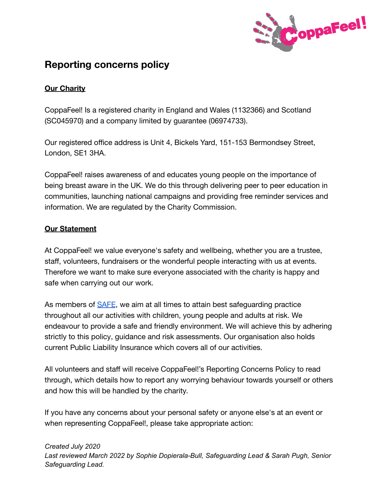

# **Reporting concerns policy**

## **Our Charity**

CoppaFeel! Is a registered charity in England and Wales (1132366) and Scotland (SC045970) and a company limited by guarantee (06974733).

Our registered office address is Unit 4, Bickels Yard, 151-153 Bermondsey Street, London, SE1 3HA.

CoppaFeel! raises awareness of and educates young people on the importance of being breast aware in the UK. We do this through delivering peer to peer education in communities, launching national campaigns and providing free reminder services and information. We are regulated by the Charity Commission.

## **Our Statement**

At CoppaFeel! we value everyone's safety and wellbeing, whether you are a trustee, staff, volunteers, fundraisers or the wonderful people interacting with us at events. Therefore we want to make sure everyone associated with the charity is happy and safe when carrying out our work.

As members of [SAFE](https://www.safecic.co.uk/), we aim at all times to attain best safeguarding practice throughout all our activities with children, young people and adults at risk. We endeavour to provide a safe and friendly environment. We will achieve this by adhering strictly to this policy, guidance and risk assessments. Our organisation also holds current Public Liability Insurance which covers all of our activities.

All volunteers and staff will receive CoppaFeel!'s Reporting Concerns Policy to read through, which details how to report any worrying behaviour towards yourself or others and how this will be handled by the charity.

If you have any concerns about your personal safety or anyone else's at an event or when representing CoppaFeel!, please take appropriate action: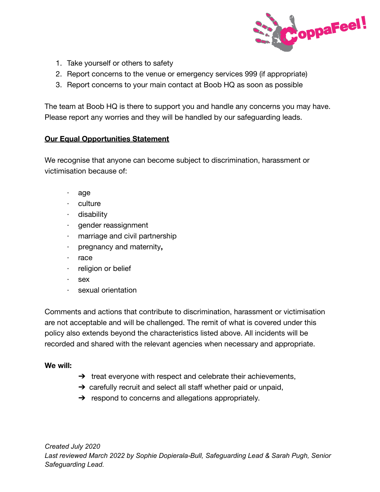

- 1. Take yourself or others to safety
- 2. Report concerns to the venue or emergency services 999 (if appropriate)
- 3. Report concerns to your main contact at Boob HQ as soon as possible

The team at Boob HQ is there to support you and handle any concerns you may have. Please report any worries and they will be handled by our safeguarding leads.

#### **Our Equal Opportunities Statement**

We recognise that anyone can become subject to discrimination, harassment or victimisation because of:

- · age
- · culture
- · disability
- · gender reassignment
- marriage and civil partnership
- · pregnancy and maternity**,**
- · race
- · religion or belief
- · sex
- sexual orientation

Comments and actions that contribute to discrimination, harassment or victimisation are not acceptable and will be challenged. The remit of what is covered under this policy also extends beyond the characteristics listed above. All incidents will be recorded and shared with the relevant agencies when necessary and appropriate.

## **We will:**

- $\rightarrow$  treat everyone with respect and celebrate their achievements,
- $\rightarrow$  carefully recruit and select all staff whether paid or unpaid,
- $\rightarrow$  respond to concerns and allegations appropriately.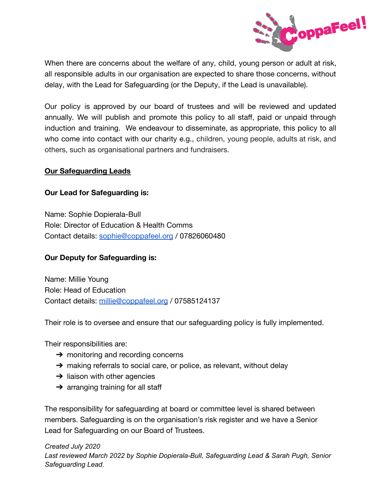

When there are concerns about the welfare of any, child, young person or adult at risk, all responsible adults in our organisation are expected to share those concerns, without delay, with the Lead for Safeguarding (or the Deputy, if the Lead is unavailable).

Our policy is approved by our board of trustees and will be reviewed and updated annually. We will publish and promote this policy to all staff, paid or unpaid through induction and training. We endeavour to disseminate, as appropriate, this policy to all who come into contact with our charity e.g., children, young people, adults at risk, and others, such as organisational partners and fundraisers.

#### **Our Safeguarding Leads**

#### **Our Lead for Safeguarding is:**

Name: Sophie Dopierala-Bull Role: Director of Education & Health Comms Contact details: [sophie@coppafeel.org](mailto:sophie@coppafeel.org) / 07826060480

## **Our Deputy for Safeguarding is:**

Name: Millie Young Role: Head of Education Contact details: [millie@coppafeel.org](mailto:millie@coppafeel.org) / 07585124137

Their role is to oversee and ensure that our safeguarding policy is fully implemented.

Their responsibilities are:

- $\rightarrow$  monitoring and recording concerns
- → making referrals to social care, or police, as relevant, without delay
- $\rightarrow$  liaison with other agencies
- $\rightarrow$  arranging training for all staff

The responsibility for safeguarding at board or committee level is shared between members. Safeguarding is on the organisation's risk register and we have a Senior Lead for Safeguarding on our Board of Trustees.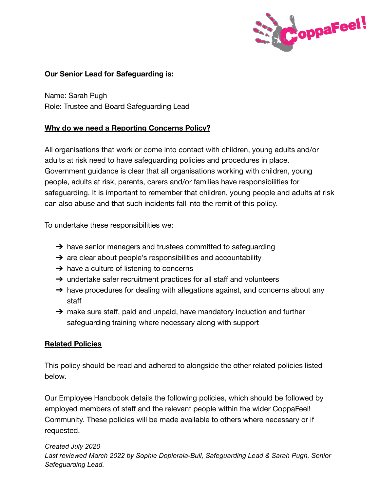

## **Our Senior Lead for Safeguarding is:**

Name: Sarah Pugh Role: Trustee and Board Safeguarding Lead

## **Why do we need a Reporting Concerns Policy?**

All organisations that work or come into contact with children, young adults and/or adults at risk need to have safeguarding policies and procedures in place. Government guidance is clear that all organisations working with children, young people, adults at risk, parents, carers and/or families have responsibilities for safeguarding. It is important to remember that children, young people and adults at risk can also abuse and that such incidents fall into the remit of this policy.

To undertake these responsibilities we:

- $\rightarrow$  have senior managers and trustees committed to safeguarding
- $\rightarrow$  are clear about people's responsibilities and accountability
- $\rightarrow$  have a culture of listening to concerns
- $\rightarrow$  undertake safer recruitment practices for all staff and volunteers
- $\rightarrow$  have procedures for dealing with allegations against, and concerns about any staff
- $\rightarrow$  make sure staff, paid and unpaid, have mandatory induction and further safeguarding training where necessary along with support

#### **Related Policies**

This policy should be read and adhered to alongside the other related policies listed below.

Our Employee Handbook details the following policies, which should be followed by employed members of staff and the relevant people within the wider CoppaFeel! Community. These policies will be made available to others where necessary or if requested.

#### *Created July 2020*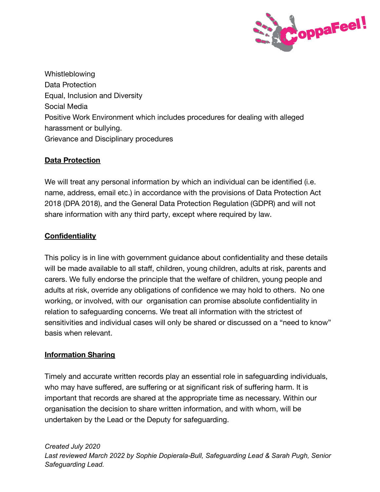

Whistleblowing Data Protection Equal, Inclusion and Diversity Social Media Positive Work Environment which includes procedures for dealing with alleged harassment or bullying. Grievance and Disciplinary procedures

## **Data Protection**

We will treat any personal information by which an individual can be identified (i.e. name, address, email etc.) in accordance with the provisions of Data Protection Act 2018 (DPA 2018), and the General Data Protection Regulation (GDPR) and will not share information with any third party, except where required by law.

## **Confidentiality**

This policy is in line with government guidance about confidentiality and these details will be made available to all staff, children, young children, adults at risk, parents and carers. We fully endorse the principle that the welfare of children, young people and adults at risk, override any obligations of confidence we may hold to others. No one working, or involved, with our organisation can promise absolute confidentiality in relation to safeguarding concerns. We treat all information with the strictest of sensitivities and individual cases will only be shared or discussed on a "need to know" basis when relevant.

## **Information Sharing**

Timely and accurate written records play an essential role in safeguarding individuals, who may have suffered, are suffering or at significant risk of suffering harm. It is important that records are shared at the appropriate time as necessary. Within our organisation the decision to share written information, and with whom, will be undertaken by the Lead or the Deputy for safeguarding.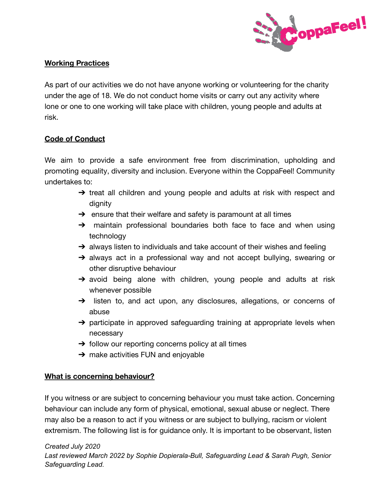

## **Working Practices**

As part of our activities we do not have anyone working or volunteering for the charity under the age of 18. We do not conduct home visits or carry out any activity where lone or one to one working will take place with children, young people and adults at risk.

#### **Code of Conduct**

We aim to provide a safe environment free from discrimination, upholding and promoting equality, diversity and inclusion. Everyone within the CoppaFeel! Community undertakes to:

- → treat all children and young people and adults at risk with respect and dignity
- $\rightarrow$  ensure that their welfare and safety is paramount at all times
- → maintain professional boundaries both face to face and when using technology
- $\rightarrow$  always listen to individuals and take account of their wishes and feeling
- ➔ always act in a professional way and not accept bullying, swearing or other disruptive behaviour
- → avoid being alone with children, young people and adults at risk whenever possible
- → listen to, and act upon, any disclosures, allegations, or concerns of abuse
- $\rightarrow$  participate in approved safeguarding training at appropriate levels when necessary
- $\rightarrow$  follow our reporting concerns policy at all times
- $\rightarrow$  make activities FUN and enjoyable

## **What is concerning behaviour?**

If you witness or are subject to concerning behaviour you must take action. Concerning behaviour can include any form of physical, emotional, sexual abuse or neglect. There may also be a reason to act if you witness or are subject to bullying, racism or violent extremism. The following list is for guidance only. It is important to be observant, listen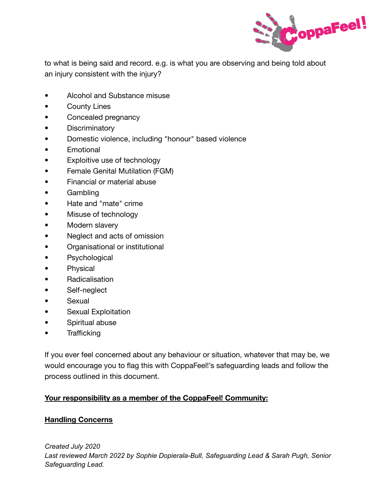

to what is being said and record. e.g. is what you are observing and being told about an injury consistent with the injury?

- Alcohol and Substance misuse
- County Lines
- Concealed pregnancy
- Discriminatory
- Domestic violence, including "honour" based violence
- Emotional
- Exploitive use of technology
- Female Genital Mutilation (FGM)
- Financial or material abuse
- Gambling
- Hate and "mate" crime
- Misuse of technology
- Modern slavery
- Neglect and acts of omission
- Organisational or institutional
- Psychological
- Physical
- Radicalisation
- Self-neglect
- Sexual
- Sexual Exploitation
- Spiritual abuse
- Trafficking

If you ever feel concerned about any behaviour or situation, whatever that may be, we would encourage you to flag this with CoppaFeel!'s safeguarding leads and follow the process outlined in this document.

## **Your responsibility as a member of the CoppaFeel! Community:**

## **Handling Concerns**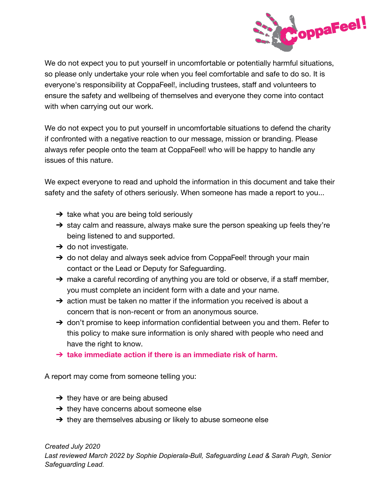

We do not expect you to put yourself in uncomfortable or potentially harmful situations, so please only undertake your role when you feel comfortable and safe to do so. It is everyone's responsibility at CoppaFeel!, including trustees, staff and volunteers to ensure the safety and wellbeing of themselves and everyone they come into contact with when carrying out our work.

We do not expect you to put yourself in uncomfortable situations to defend the charity if confronted with a negative reaction to our message, mission or branding. Please always refer people onto the team at CoppaFeel! who will be happy to handle any issues of this nature.

We expect everyone to read and uphold the information in this document and take their safety and the safety of others seriously. When someone has made a report to you...

- $\rightarrow$  take what you are being told seriously
- → stay calm and reassure, always make sure the person speaking up feels they're being listened to and supported.
- $\rightarrow$  do not investigate.
- → do not delay and always seek advice from CoppaFeel! through your main contact or the Lead or Deputy for Safeguarding.
- → make a careful recording of anything you are told or observe, if a staff member, you must complete an incident form with a date and your name.
- $\rightarrow$  action must be taken no matter if the information you received is about a concern that is non-recent or from an anonymous source.
- → don't promise to keep information confidential between you and them. Refer to this policy to make sure information is only shared with people who need and have the right to know.
- ➔ **take immediate action if there is an immediate risk of harm.**

A report may come from someone telling you:

- $\rightarrow$  they have or are being abused
- $\rightarrow$  they have concerns about someone else
- $\rightarrow$  they are themselves abusing or likely to abuse someone else

*Created July 2020*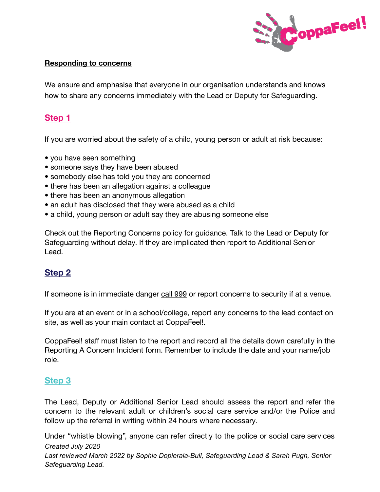

#### **Responding to concerns**

We ensure and emphasise that everyone in our organisation understands and knows how to share any concerns immediately with the Lead or Deputy for Safeguarding.

# **Step 1**

If you are worried about the safety of a child, young person or adult at risk because:

- you have seen something
- someone says they have been abused
- somebody else has told you they are concerned
- there has been an allegation against a colleague
- there has been an anonymous allegation
- an adult has disclosed that they were abused as a child
- a child, young person or adult say they are abusing someone else

Check out the Reporting Concerns policy for guidance. Talk to the Lead or Deputy for Safeguarding without delay. If they are implicated then report to Additional Senior Lead.

# **Step 2**

If someone is in immediate danger call 999 or report concerns to security if at a venue.

If you are at an event or in a school/college, report any concerns to the lead contact on site, as well as your main contact at CoppaFeel!.

CoppaFeel! staff must listen to the report and record all the details down carefully in the Reporting A Concern Incident form. Remember to include the date and your name/job role.

# **Step 3**

The Lead, Deputy or Additional Senior Lead should assess the report and refer the concern to the relevant adult or children's social care service and/or the Police and follow up the referral in writing within 24 hours where necessary.

Under "whistle blowing", anyone can refer directly to the police or social care services *Created July 2020 Last reviewed March 2022 by Sophie Dopierala-Bull, Safeguarding Lead & Sarah Pugh, Senior Safeguarding Lead.*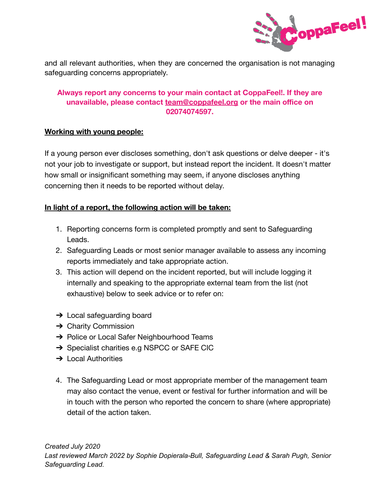

and all relevant authorities, when they are concerned the organisation is not managing safeguarding concerns appropriately.

## **Always report any concerns to your main contact at CoppaFeel!. If they are unavailable, please contact team@coppafeel.org or the main office on 02074074597.**

#### **Working with young people:**

If a young person ever discloses something, don't ask questions or delve deeper - it's not your job to investigate or support, but instead report the incident. It doesn't matter how small or insignificant something may seem, if anyone discloses anything concerning then it needs to be reported without delay.

## **In light of a report, the following action will be taken:**

- 1. Reporting concerns form is completed promptly and sent to Safeguarding Leads.
- 2. Safeguarding Leads or most senior manager available to assess any incoming reports immediately and take appropriate action.
- 3. This action will depend on the incident reported, but will include logging it internally and speaking to the appropriate external team from the list (not exhaustive) below to seek advice or to refer on:
- $\rightarrow$  Local safeguarding board
- $\rightarrow$  Charity Commission
- **→** Police or Local Safer Neighbourhood Teams
- ➔ Specialist charities e.g NSPCC or SAFE CIC
- **→ Local Authorities**
- 4. The Safeguarding Lead or most appropriate member of the management team may also contact the venue, event or festival for further information and will be in touch with the person who reported the concern to share (where appropriate) detail of the action taken.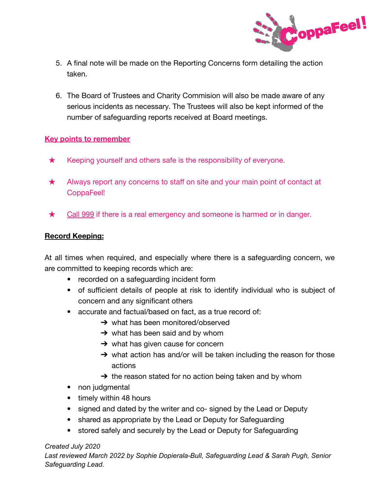

- 5. A final note will be made on the Reporting Concerns form detailing the action taken.
- 6. The Board of Trustees and Charity Commision will also be made aware of any serious incidents as necessary. The Trustees will also be kept informed of the number of safeguarding reports received at Board meetings.

#### **Key points to remember**

- $\star$  Keeping yourself and others safe is the responsibility of everyone.
- ★ Always report any concerns to staff on site and your main point of contact at CoppaFeel!
- ★ Call 999 if there is a real emergency and someone is harmed or in danger.

#### **Record Keeping:**

At all times when required, and especially where there is a safeguarding concern, we are committed to keeping records which are:

- recorded on a safeguarding incident form
- of sufficient details of people at risk to identify individual who is subject of concern and any significant others
- accurate and factual/based on fact, as a true record of:
	- $\rightarrow$  what has been monitored/observed
	- $\rightarrow$  what has been said and by whom
	- $\rightarrow$  what has given cause for concern
	- $\rightarrow$  what action has and/or will be taken including the reason for those actions
	- $\rightarrow$  the reason stated for no action being taken and by whom
- non judgmental
- timely within 48 hours
- signed and dated by the writer and co-signed by the Lead or Deputy
- shared as appropriate by the Lead or Deputy for Safeguarding
- stored safely and securely by the Lead or Deputy for Safeguarding

#### *Created July 2020*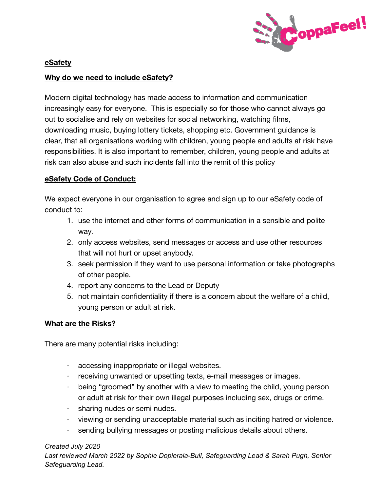

## **eSafety**

#### **Why do we need to include eSafety?**

Modern digital technology has made access to information and communication increasingly easy for everyone. This is especially so for those who cannot always go out to socialise and rely on websites for social networking, watching films, downloading music, buying lottery tickets, shopping etc. Government guidance is clear, that all organisations working with children, young people and adults at risk have responsibilities. It is also important to remember, children, young people and adults at risk can also abuse and such incidents fall into the remit of this policy

#### **eSafety Code of Conduct:**

We expect everyone in our organisation to agree and sign up to our eSafety code of conduct to:

- 1. use the internet and other forms of communication in a sensible and polite way.
- 2. only access websites, send messages or access and use other resources that will not hurt or upset anybody.
- 3. seek permission if they want to use personal information or take photographs of other people.
- 4. report any concerns to the Lead or Deputy
- 5. not maintain confidentiality if there is a concern about the welfare of a child, young person or adult at risk.

#### **What are the Risks?**

There are many potential risks including:

- · accessing inappropriate or illegal websites.
- · receiving unwanted or upsetting texts, e-mail messages or images.
- · being "groomed" by another with a view to meeting the child, young person or adult at risk for their own illegal purposes including sex, drugs or crime.
- · sharing nudes or semi nudes.
- · viewing or sending unacceptable material such as inciting hatred or violence.
- · sending bullying messages or posting malicious details about others.

#### *Created July 2020*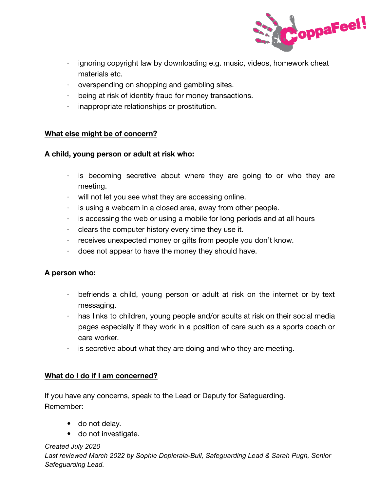

- $\cdot$  ignoring copyright law by downloading e.g. music, videos, homework cheat materials etc.
- · overspending on shopping and gambling sites.
- · being at risk of identity fraud for money transactions.
- · inappropriate relationships or prostitution.

## **What else might be of concern?**

#### **A child, young person or adult at risk who:**

- $\cdot$  is becoming secretive about where they are going to or who they are meeting.
- · will not let you see what they are accessing online.
- $\cdot$  is using a webcam in a closed area, away from other people.
- $\cdot$  is accessing the web or using a mobile for long periods and at all hours
- $\cdot$  clears the computer history every time they use it.
- · receives unexpected money or gifts from people you don't know.
- · does not appear to have the money they should have.

#### **A person who:**

- · befriends a child, young person or adult at risk on the internet or by text messaging.
- · has links to children, young people and/or adults at risk on their social media pages especially if they work in a position of care such as a sports coach or care worker.
- $\cdot$  is secretive about what they are doing and who they are meeting.

## **What do I do if I am concerned?**

If you have any concerns, speak to the Lead or Deputy for Safeguarding. Remember:

- do not delay.
- do not investigate.

#### *Created July 2020*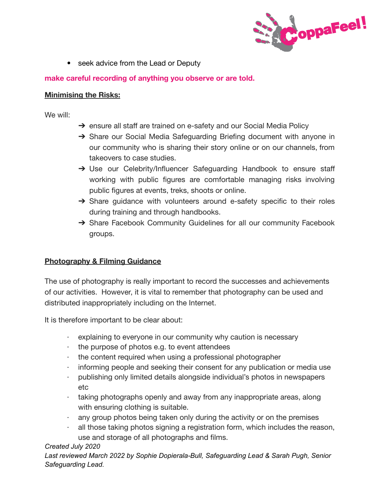

• seek advice from the Lead or Deputy

## **make careful recording of anything you observe or are told.**

#### **Minimising the Risks:**

We will:

- → ensure all staff are trained on e-safety and our Social Media Policy
- → Share our Social Media Safeguarding Briefing document with anyone in our community who is sharing their story online or on our channels, from takeovers to case studies.
- → Use our Celebrity/Influencer Safeguarding Handbook to ensure staff working with public figures are comfortable managing risks involving public figures at events, treks, shoots or online.
- → Share guidance with volunteers around e-safety specific to their roles during training and through handbooks.
- → Share Facebook Community Guidelines for all our community Facebook groups.

## **Photography & Filming Guidance**

The use of photography is really important to record the successes and achievements of our activities. However, it is vital to remember that photography can be used and distributed inappropriately including on the Internet.

It is therefore important to be clear about:

- · explaining to everyone in our community why caution is necessary
- $\cdot$  the purpose of photos e.g. to event attendees
- · the content required when using a professional photographer
- · informing people and seeking their consent for any publication or media use
- · publishing only limited details alongside individual's photos in newspapers etc
- · taking photographs openly and away from any inappropriate areas, along with ensuring clothing is suitable.
- $\cdot$  any group photos being taken only during the activity or on the premises
- all those taking photos signing a registration form, which includes the reason, use and storage of all photographs and films.

## *Created July 2020*